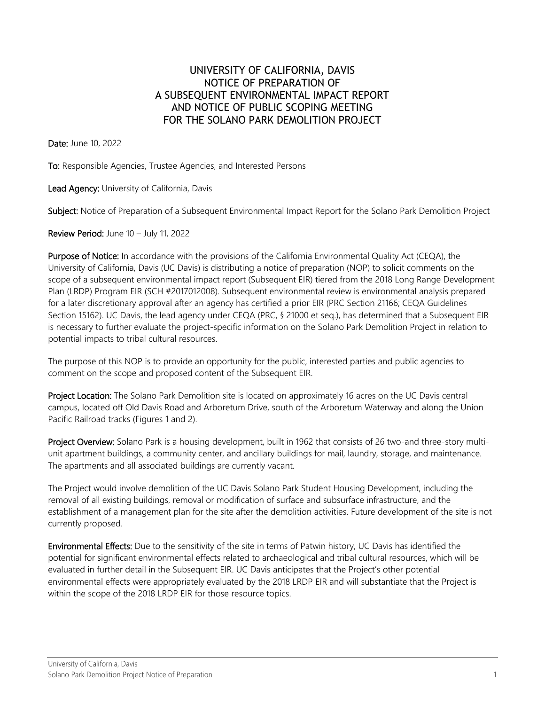## UNIVERSITY OF CALIFORNIA, DAVIS NOTICE OF PREPARATION OF A SUBSEQUENT ENVIRONMENTAL IMPACT REPORT AND NOTICE OF PUBLIC SCOPING MEETING FOR THE SOLANO PARK DEMOLITION PROJECT

Date: June 10, 2022

To: Responsible Agencies, Trustee Agencies, and Interested Persons

Lead Agency: University of California, Davis

Subject: Notice of Preparation of a Subsequent Environmental Impact Report for the Solano Park Demolition Project

Review Period: June 10 – July 11, 2022

Purpose of Notice: In accordance with the provisions of the California Environmental Quality Act (CEQA), the University of California, Davis (UC Davis) is distributing a notice of preparation (NOP) to solicit comments on the scope of a subsequent environmental impact report (Subsequent EIR) tiered from the 2018 Long Range Development Plan (LRDP) Program EIR (SCH #2017012008). Subsequent environmental review is environmental analysis prepared for a later discretionary approval after an agency has certified a prior EIR (PRC Section 21166; CEQA Guidelines Section 15162). UC Davis, the lead agency under CEQA (PRC, § 21000 et seq.), has determined that a Subsequent EIR is necessary to further evaluate the project-specific information on the Solano Park Demolition Project in relation to potential impacts to tribal cultural resources.

The purpose of this NOP is to provide an opportunity for the public, interested parties and public agencies to comment on the scope and proposed content of the Subsequent EIR.

Project Location: The Solano Park Demolition site is located on approximately 16 acres on the UC Davis central campus, located off Old Davis Road and Arboretum Drive, south of the Arboretum Waterway and along the Union Pacific Railroad tracks (Figures 1 and 2).

Project Overview: Solano Park is a housing development, built in 1962 that consists of 26 two-and three-story multiunit apartment buildings, a community center, and ancillary buildings for mail, laundry, storage, and maintenance. The apartments and all associated buildings are currently vacant.

The Project would involve demolition of the UC Davis Solano Park Student Housing Development, including the removal of all existing buildings, removal or modification of surface and subsurface infrastructure, and the establishment of a management plan for the site after the demolition activities. Future development of the site is not currently proposed.

Environmental Effects: Due to the sensitivity of the site in terms of Patwin history, UC Davis has identified the potential for significant environmental effects related to archaeological and tribal cultural resources, which will be evaluated in further detail in the Subsequent EIR. UC Davis anticipates that the Project's other potential environmental effects were appropriately evaluated by the 2018 LRDP EIR and will substantiate that the Project is within the scope of the 2018 LRDP EIR for those resource topics.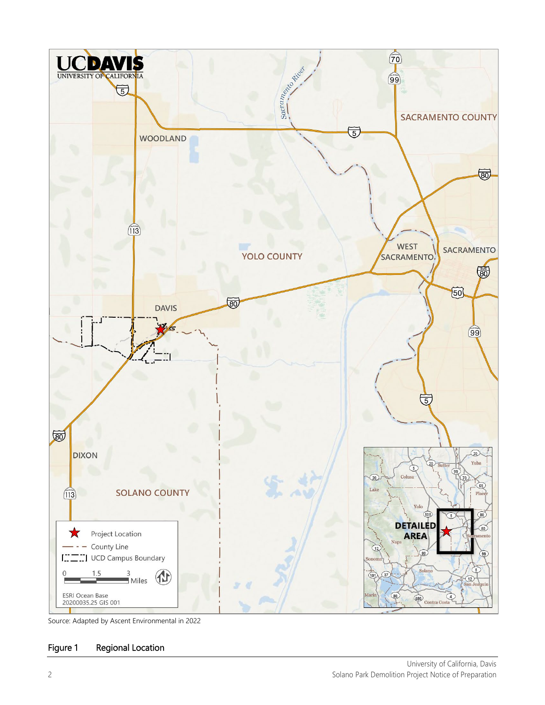

Source: Adapted by Ascent Environmental in 2022

## Figure 1 Regional Location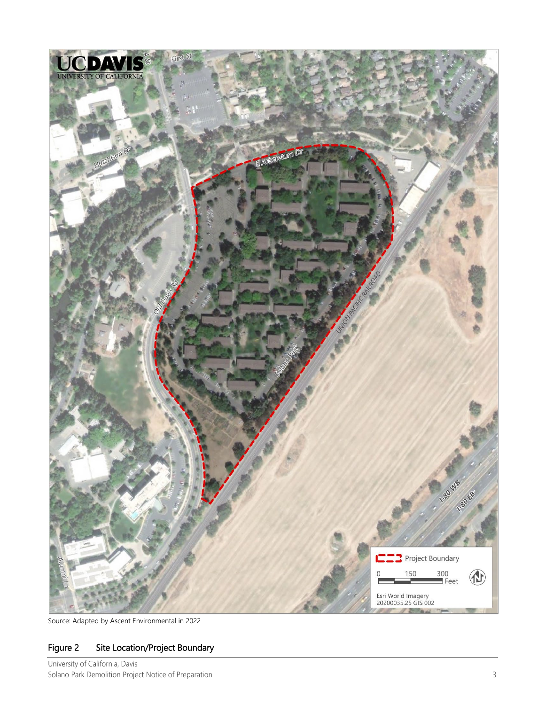

Source: Adapted by Ascent Environmental in 2022

## Figure 2 Site Location/Project Boundary